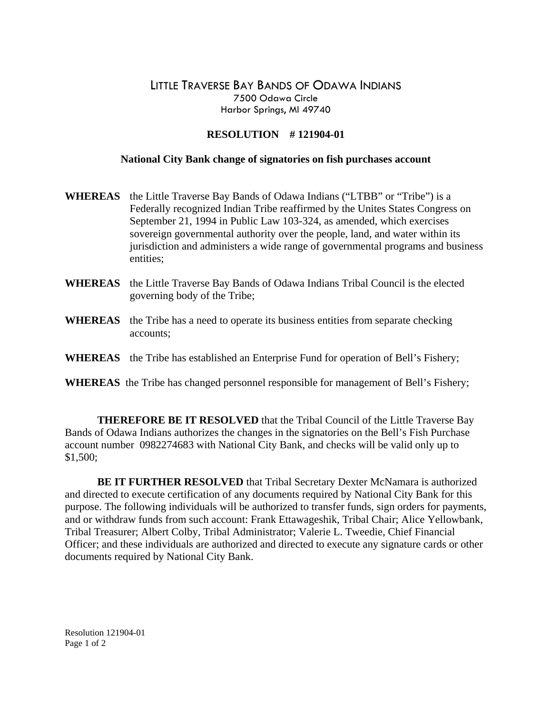## LITTLE TRAVERSE BAY BANDS OF ODAWA INDIANS 7500 Odawa Circle Harbor Springs, MI 49740

## **RESOLUTION # 121904-01**

## **National City Bank change of signatories on fish purchases account**

- **WHEREAS** the Little Traverse Bay Bands of Odawa Indians ("LTBB" or "Tribe") is a Federally recognized Indian Tribe reaffirmed by the Unites States Congress on September 21, 1994 in Public Law 103-324, as amended, which exercises sovereign governmental authority over the people, land, and water within its jurisdiction and administers a wide range of governmental programs and business entities;
- **WHEREAS** the Little Traverse Bay Bands of Odawa Indians Tribal Council is the elected governing body of the Tribe;
- **WHEREAS** the Tribe has a need to operate its business entities from separate checking accounts;
- **WHEREAS** the Tribe has established an Enterprise Fund for operation of Bell's Fishery;
- **WHEREAS** the Tribe has changed personnel responsible for management of Bell's Fishery;

 **THEREFORE BE IT RESOLVED** that the Tribal Council of the Little Traverse Bay Bands of Odawa Indians authorizes the changes in the signatories on the Bell's Fish Purchase account number 0982274683 with National City Bank, and checks will be valid only up to \$1,500;

**BE IT FURTHER RESOLVED** that Tribal Secretary Dexter McNamara is authorized and directed to execute certification of any documents required by National City Bank for this purpose. The following individuals will be authorized to transfer funds, sign orders for payments, and or withdraw funds from such account: Frank Ettawageshik, Tribal Chair; Alice Yellowbank, Tribal Treasurer; Albert Colby, Tribal Administrator; Valerie L. Tweedie, Chief Financial Officer; and these individuals are authorized and directed to execute any signature cards or other documents required by National City Bank.

Resolution 121904-01 Page 1 of 2